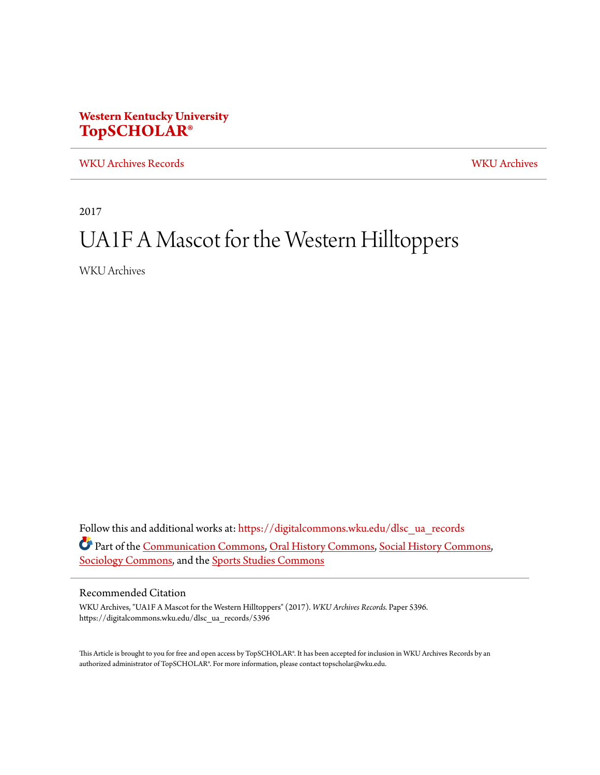## **Western Kentucky University [TopSCHOLAR®](https://digitalcommons.wku.edu?utm_source=digitalcommons.wku.edu%2Fdlsc_ua_records%2F5396&utm_medium=PDF&utm_campaign=PDFCoverPages)**

[WKU Archives Records](https://digitalcommons.wku.edu/dlsc_ua_records?utm_source=digitalcommons.wku.edu%2Fdlsc_ua_records%2F5396&utm_medium=PDF&utm_campaign=PDFCoverPages) [WKU Archives](https://digitalcommons.wku.edu/dlsc_ua?utm_source=digitalcommons.wku.edu%2Fdlsc_ua_records%2F5396&utm_medium=PDF&utm_campaign=PDFCoverPages)

2017

## UA1F A Mascot for the Western Hilltoppers

WKU Archives

Follow this and additional works at: [https://digitalcommons.wku.edu/dlsc\\_ua\\_records](https://digitalcommons.wku.edu/dlsc_ua_records?utm_source=digitalcommons.wku.edu%2Fdlsc_ua_records%2F5396&utm_medium=PDF&utm_campaign=PDFCoverPages) Part of the [Communication Commons](http://network.bepress.com/hgg/discipline/325?utm_source=digitalcommons.wku.edu%2Fdlsc_ua_records%2F5396&utm_medium=PDF&utm_campaign=PDFCoverPages), [Oral History Commons](http://network.bepress.com/hgg/discipline/1195?utm_source=digitalcommons.wku.edu%2Fdlsc_ua_records%2F5396&utm_medium=PDF&utm_campaign=PDFCoverPages), [Social History Commons](http://network.bepress.com/hgg/discipline/506?utm_source=digitalcommons.wku.edu%2Fdlsc_ua_records%2F5396&utm_medium=PDF&utm_campaign=PDFCoverPages), [Sociology Commons,](http://network.bepress.com/hgg/discipline/416?utm_source=digitalcommons.wku.edu%2Fdlsc_ua_records%2F5396&utm_medium=PDF&utm_campaign=PDFCoverPages) and the [Sports Studies Commons](http://network.bepress.com/hgg/discipline/1198?utm_source=digitalcommons.wku.edu%2Fdlsc_ua_records%2F5396&utm_medium=PDF&utm_campaign=PDFCoverPages)

## Recommended Citation

WKU Archives, "UA1F A Mascot for the Western Hilltoppers" (2017). *WKU Archives Records.* Paper 5396. https://digitalcommons.wku.edu/dlsc\_ua\_records/5396

This Article is brought to you for free and open access by TopSCHOLAR®. It has been accepted for inclusion in WKU Archives Records by an authorized administrator of TopSCHOLAR®. For more information, please contact topscholar@wku.edu.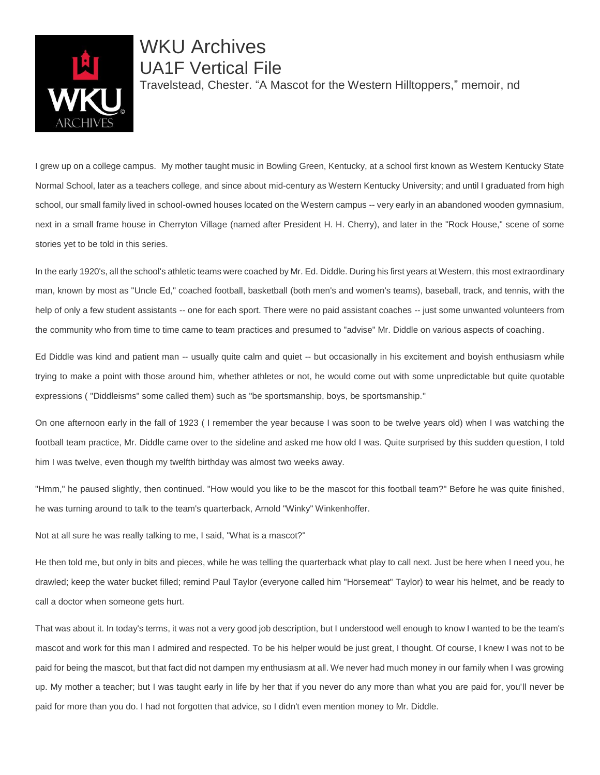

WKU Archives UA1F Vertical File Travelstead, Chester. "A Mascot for the Western Hilltoppers," memoir, nd

I grew up on a college campus. My mother taught music in Bowling Green, Kentucky, at a school first known as Western Kentucky State Normal School, later as a teachers college, and since about mid-century as Western Kentucky University; and until I graduated from high school, our small family lived in school-owned houses located on the Western campus -- very early in an abandoned wooden gymnasium, next in a small frame house in Cherryton Village (named after President H. H. Cherry), and later in the "Rock House," scene of some stories yet to be told in this series.

In the early 1920's, all the school's athletic teams were coached by Mr. Ed. Diddle. During his first years at Western, this most extraordinary man, known by most as "Uncle Ed," coached football, basketball (both men's and women's teams), baseball, track, and tennis, with the help of only a few student assistants -- one for each sport. There were no paid assistant coaches -- just some unwanted volunteers from the community who from time to time came to team practices and presumed to "advise" Mr. Diddle on various aspects of coaching.

Ed Diddle was kind and patient man -- usually quite calm and quiet -- but occasionally in his excitement and boyish enthusiasm while trying to make a point with those around him, whether athletes or not, he would come out with some unpredictable but quite quotable expressions ( "Diddleisms" some called them) such as "be sportsmanship, boys, be sportsmanship."

On one afternoon early in the fall of 1923 ( I remember the year because I was soon to be twelve years old) when I was watching the football team practice, Mr. Diddle came over to the sideline and asked me how old I was. Quite surprised by this sudden question, I told him I was twelve, even though my twelfth birthday was almost two weeks away.

"Hmm," he paused slightly, then continued. "How would you like to be the mascot for this football team?" Before he was quite finished, he was turning around to talk to the team's quarterback, Arnold "Winky" Winkenhoffer.

Not at all sure he was really talking to me, I said, "What is a mascot?"

He then told me, but only in bits and pieces, while he was telling the quarterback what play to call next. Just be here when I need you, he drawled; keep the water bucket filled; remind Paul Taylor (everyone called him "Horsemeat" Taylor) to wear his helmet, and be ready to call a doctor when someone gets hurt.

That was about it. In today's terms, it was not a very good job description, but I understood well enough to know I wanted to be the team's mascot and work for this man I admired and respected. To be his helper would be just great, I thought. Of course, I knew I was not to be paid for being the mascot, but that fact did not dampen my enthusiasm at all. We never had much money in our family when I was growing up. My mother a teacher; but I was taught early in life by her that if you never do any more than what you are paid for, you'll never be paid for more than you do. I had not forgotten that advice, so I didn't even mention money to Mr. Diddle.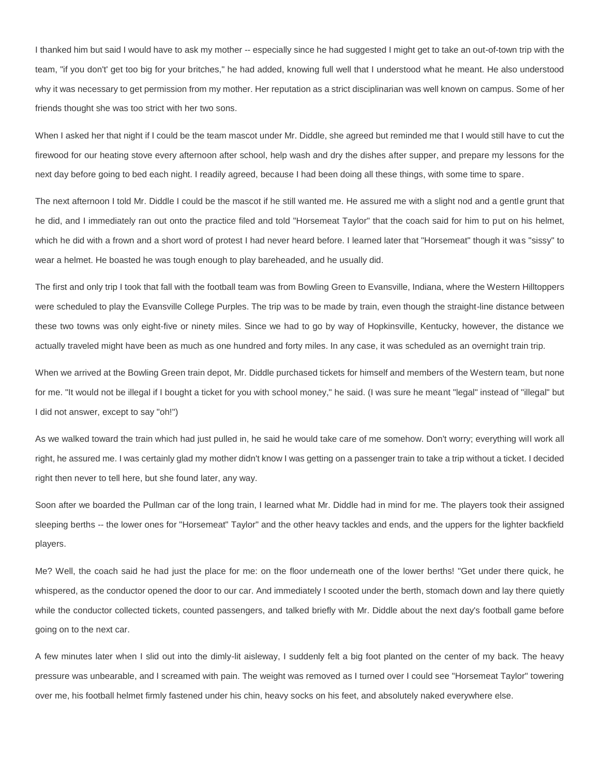I thanked him but said I would have to ask my mother -- especially since he had suggested I might get to take an out-of-town trip with the team, "if you don't' get too big for your britches," he had added, knowing full well that I understood what he meant. He also understood why it was necessary to get permission from my mother. Her reputation as a strict disciplinarian was well known on campus. Some of her friends thought she was too strict with her two sons.

When I asked her that night if I could be the team mascot under Mr. Diddle, she agreed but reminded me that I would still have to cut the firewood for our heating stove every afternoon after school, help wash and dry the dishes after supper, and prepare my lessons for the next day before going to bed each night. I readily agreed, because I had been doing all these things, with some time to spare.

The next afternoon I told Mr. Diddle I could be the mascot if he still wanted me. He assured me with a slight nod and a gentle grunt that he did, and I immediately ran out onto the practice filed and told "Horsemeat Taylor" that the coach said for him to put on his helmet, which he did with a frown and a short word of protest I had never heard before. I learned later that "Horsemeat" though it was "sissy" to wear a helmet. He boasted he was tough enough to play bareheaded, and he usually did.

The first and only trip I took that fall with the football team was from Bowling Green to Evansville, Indiana, where the Western Hilltoppers were scheduled to play the Evansville College Purples. The trip was to be made by train, even though the straight-line distance between these two towns was only eight-five or ninety miles. Since we had to go by way of Hopkinsville, Kentucky, however, the distance we actually traveled might have been as much as one hundred and forty miles. In any case, it was scheduled as an overnight train trip.

When we arrived at the Bowling Green train depot, Mr. Diddle purchased tickets for himself and members of the Western team, but none for me. "It would not be illegal if I bought a ticket for you with school money," he said. (I was sure he meant "legal" instead of "illegal" but I did not answer, except to say "oh!")

As we walked toward the train which had just pulled in, he said he would take care of me somehow. Don't worry; everything will work all right, he assured me. I was certainly glad my mother didn't know I was getting on a passenger train to take a trip without a ticket. I decided right then never to tell here, but she found later, any way.

Soon after we boarded the Pullman car of the long train, I learned what Mr. Diddle had in mind for me. The players took their assigned sleeping berths -- the lower ones for "Horsemeat" Taylor" and the other heavy tackles and ends, and the uppers for the lighter backfield players.

Me? Well, the coach said he had just the place for me: on the floor underneath one of the lower berths! "Get under there quick, he whispered, as the conductor opened the door to our car. And immediately I scooted under the berth, stomach down and lay there quietly while the conductor collected tickets, counted passengers, and talked briefly with Mr. Diddle about the next day's football game before going on to the next car.

A few minutes later when I slid out into the dimly-lit aisleway, I suddenly felt a big foot planted on the center of my back. The heavy pressure was unbearable, and I screamed with pain. The weight was removed as I turned over I could see "Horsemeat Taylor" towering over me, his football helmet firmly fastened under his chin, heavy socks on his feet, and absolutely naked everywhere else.